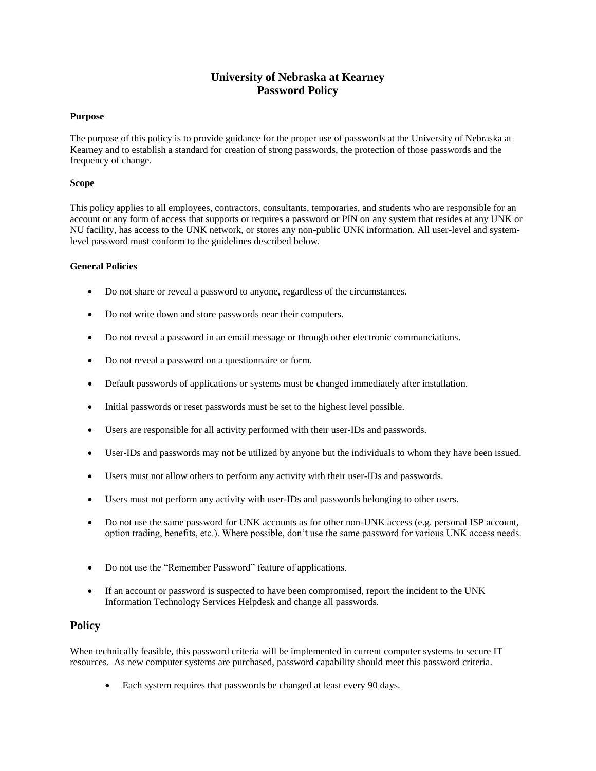# **University of Nebraska at Kearney Password Policy**

## **Purpose**

The purpose of this policy is to provide guidance for the proper use of passwords at the University of Nebraska at Kearney and to establish a standard for creation of strong passwords, the protection of those passwords and the frequency of change.

### **Scope**

This policy applies to all employees, contractors, consultants, temporaries, and students who are responsible for an account or any form of access that supports or requires a password or PIN on any system that resides at any UNK or NU facility, has access to the UNK network, or stores any non-public UNK information. All user-level and systemlevel password must conform to the guidelines described below.

## **General Policies**

- Do not share or reveal a password to anyone, regardless of the circumstances.
- Do not write down and store passwords near their computers.
- Do not reveal a password in an email message or through other electronic communciations.
- Do not reveal a password on a questionnaire or form.
- Default passwords of applications or systems must be changed immediately after installation.
- Initial passwords or reset passwords must be set to the highest level possible.
- Users are responsible for all activity performed with their user-IDs and passwords.
- User-IDs and passwords may not be utilized by anyone but the individuals to whom they have been issued.
- Users must not allow others to perform any activity with their user-IDs and passwords.
- Users must not perform any activity with user-IDs and passwords belonging to other users.
- Do not use the same password for UNK accounts as for other non-UNK access (e.g. personal ISP account, option trading, benefits, etc.). Where possible, don't use the same password for various UNK access needs.
- Do not use the "Remember Password" feature of applications.
- If an account or password is suspected to have been compromised, report the incident to the UNK Information Technology Services Helpdesk and change all passwords.

# **Policy**

When technically feasible, this password criteria will be implemented in current computer systems to secure IT resources. As new computer systems are purchased, password capability should meet this password criteria.

• Each system requires that passwords be changed at least every 90 days.